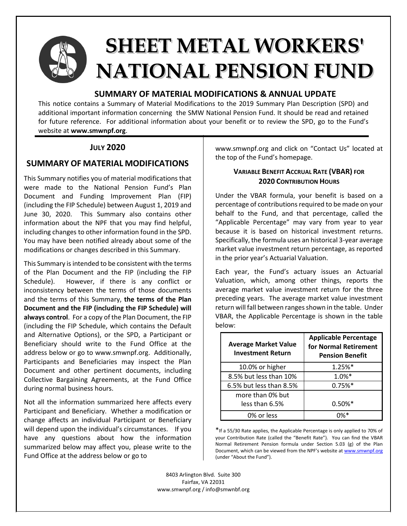

# **SHEET METAL WORKERS' NATIONAL PENSION FUND**

## **SUMMARY OF MATERIAL MODIFICATIONS & ANNUAL UPDATE**

This notice contains a Summary of Material Modifications to the 2019 Summary Plan Description (SPD) and additional important information concerning the SMW National Pension Fund. It should be read and retained for future reference. For additional information about your benefit or to review the SPD, go to the Fund's website at **www.smwnpf.org**.

# **JULY 2020**

# **SUMMARY OF MATERIAL MODIFICATIONS**

This Summary notifies you of material modifications that were made to the National Pension Fund's Plan Document and Funding Improvement Plan (FIP) (including the FIP Schedule) between August 1, 2019 and June 30, 2020. This Summary also contains other information about the NPF that you may find helpful, including changes to other information found in the SPD. You may have been notified already about some of the modifications or changes described in this Summary.

This Summary is intended to be consistent with the terms of the Plan Document and the FIP (including the FIP Schedule). However, if there is any conflict or inconsistency between the terms of those documents and the terms of this Summary, **the terms of the Plan Document and the FIP (including the FIP Schedule) will always control**. For a copy of the Plan Document, the FIP (including the FIP Schedule, which contains the Default and Alternative Options), or the SPD, a Participant or Beneficiary should write to the Fund Office at the address below or go to www.smwnpf.org. Additionally, Participants and Beneficiaries may inspect the Plan Document and other pertinent documents, including Collective Bargaining Agreements, at the Fund Office during normal business hours.

Not all the information summarized here affects every Participant and Beneficiary. Whether a modification or change affects an individual Participant or Beneficiary will depend upon the individual's circumstances. If you have any questions about how the information summarized below may affect you, please write to the Fund Office at the address below or go to

www.smwnpf.org and click on "Contact Us" located at the top of the Fund's homepage.

## **VARIABLE BENEFIT ACCRUAL RATE (VBAR) FOR 2020 CONTRIBUTION HOURS**

Under the VBAR formula, your benefit is based on a percentage of contributions required to be made on your behalf to the Fund, and that percentage, called the "Applicable Percentage" may vary from year to year because it is based on historical investment returns. Specifically, the formula uses an historical 3-year average market value investment return percentage, as reported in the prior year's Actuarial Valuation.

Each year, the Fund's actuary issues an Actuarial Valuation, which, among other things, reports the average market value investment return for the three preceding years. The average market value investment return will fall between ranges shown in the table. Under VBAR, the Applicable Percentage is shown in the table below:

| <b>Average Market Value</b><br><b>Investment Return</b> | <b>Applicable Percentage</b><br>for Normal Retirement<br><b>Pension Benefit</b> |
|---------------------------------------------------------|---------------------------------------------------------------------------------|
| 10.0% or higher                                         | $1.25%$ *                                                                       |
| 8.5% but less than 10%                                  | $1.0\%*$                                                                        |
| 6.5% but less than 8.5%                                 | $0.75%$ *                                                                       |
| more than 0% but                                        |                                                                                 |
| less than 6.5%                                          | $0.50\%*$                                                                       |
| 0% or less                                              |                                                                                 |

\*If a 55/30 Rate applies, the Applicable Percentage is only applied to 70% of your Contribution Rate (called the "Benefit Rate"). You can find the VBAR Normal Retirement Pension formula under Section 5.03 (g) of the Plan Document, which can be viewed from the NPF's website at www.smwnpf.org (under "About the Fund").

8403 Arlington Blvd. Suite 300 Fairfax, VA 22031 www.smwnpf.org / info@smwnbf.org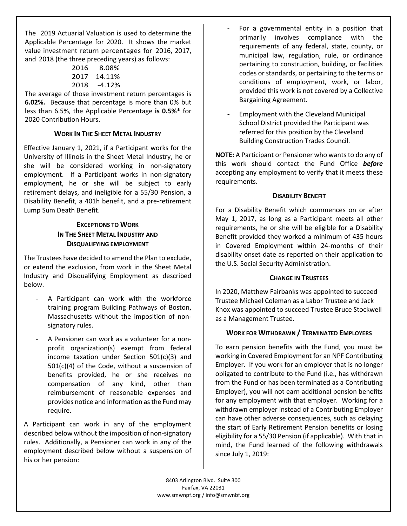The 2019 Actuarial Valuation is used to determine the Applicable Percentage for 2020. It shows the market value investment return percentages for 2016, 2017, and 2018 (the three preceding years) as follows:

| 2016 | 8.08%  |
|------|--------|
| 2017 | 14.11% |
| 2018 | -4.12% |

The average of those investment return percentages is **6.02%.** Because that percentage is more than 0% but less than 6.5%, the Applicable Percentage **is 0.5%\*** for 2020 Contribution Hours.

## **WORK IN THE SHEET METAL INDUSTRY**

Effective January 1, 2021, if a Participant works for the University of Illinois in the Sheet Metal Industry, he or she will be considered working in non-signatory employment. If a Participant works in non-signatory employment, he or she will be subject to early retirement delays, and ineligible for a 55/30 Pension, a Disability Benefit, a 401h benefit, and a pre-retirement Lump Sum Death Benefit.

## **EXCEPTIONS TO WORK IN THE SHEET METAL INDUSTRY AND DISQUALIFYING EMPLOYMENT**

The Trustees have decided to amend the Plan to exclude, or extend the exclusion, from work in the Sheet Metal Industry and Disqualifying Employment as described below.

- A Participant can work with the workforce training program Building Pathways of Boston, Massachusetts without the imposition of nonsignatory rules.
- A Pensioner can work as a volunteer for a nonprofit organization(s) exempt from federal income taxation under Section 501(c)(3) and 501(c)(4) of the Code, without a suspension of benefits provided, he or she receives no compensation of any kind, other than reimbursement of reasonable expenses and provides notice and information as the Fund may require.

A Participant can work in any of the employment described below without the imposition of non-signatory rules. Additionally, a Pensioner can work in any of the employment described below without a suspension of his or her pension:

- For a governmental entity in a position that primarily involves compliance with the requirements of any federal, state, county, or municipal law, regulation, rule, or ordinance pertaining to construction, building, or facilities codes or standards, or pertaining to the terms or conditions of employment, work, or labor, provided this work is not covered by a Collective Bargaining Agreement.
- Employment with the Cleveland Municipal School District provided the Participant was referred for this position by the Cleveland Building Construction Trades Council.

**NOTE:** A Participant or Pensioner who wants to do any of this work should contact the Fund Office *before* accepting any employment to verify that it meets these requirements.

## **DISABILITY BENEFIT**

For a Disability Benefit which commences on or after May 1, 2017, as long as a Participant meets all other requirements, he or she will be eligible for a Disability Benefit provided they worked a minimum of 435 hours in Covered Employment within 24-months of their disability onset date as reported on their application to the U.S. Social Security Administration.

## **CHANGE IN TRUSTEES**

In 2020, Matthew Fairbanks was appointed to succeed Trustee Michael Coleman as a Labor Trustee and Jack Knox was appointed to succeed Trustee Bruce Stockwell as a Management Trustee.

## **WORK FOR WITHDRAWN / TERMINATED EMPLOYERS**

To earn pension benefits with the Fund, you must be working in Covered Employment for an NPF Contributing Employer. If you work for an employer that is no longer obligated to contribute to the Fund (i.e., has withdrawn from the Fund or has been terminated as a Contributing Employer), you will not earn additional pension benefits for any employment with that employer. Working for a withdrawn employer instead of a Contributing Employer can have other adverse consequences, such as delaying the start of Early Retirement Pension benefits or losing eligibility for a 55/30 Pension (if applicable). With that in mind, the Fund learned of the following withdrawals since July 1, 2019:

8403 Arlington Blvd. Suite 300 Fairfax, VA 22031 www.smwnpf.org / info@smwnbf.org